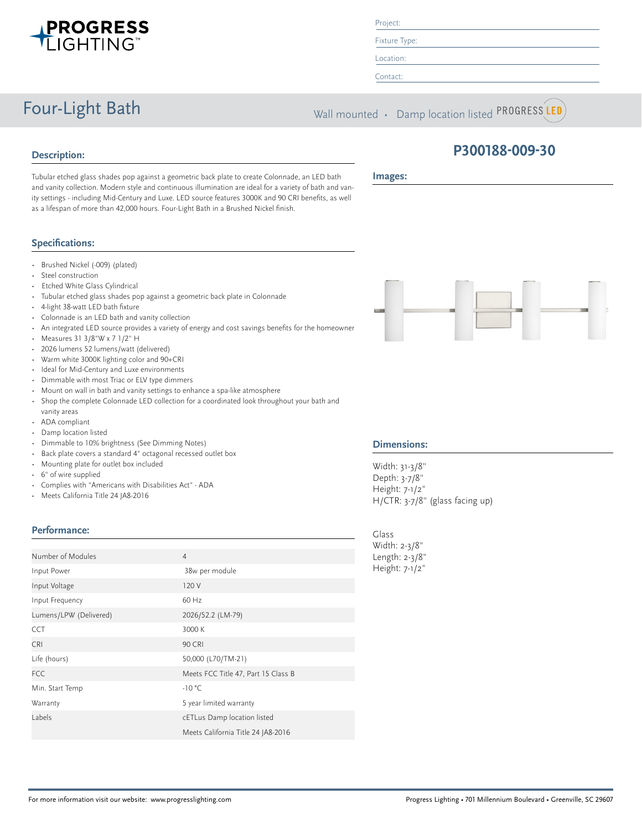

#### Project:

Fixture Type:

Location:

Contact:

Four-Light Bath Wall mounted • Damp location listed PROGRESS LED

# **Description:**

**Images:**

Tubular etched glass shades pop against a geometric back plate to create Colonnade, an LED bath and vanity collection. Modern style and continuous illumination are ideal for a variety of bath and vanity settings - including Mid-Century and Luxe. LED source features 3000K and 90 CRI benefits, as well as a lifespan of more than 42,000 hours. Four-Light Bath in a Brushed Nickel finish.

# **Specifications:**

- Brushed Nickel (-009) (plated)
- Steel construction
- Etched White Glass Cylindrical
- Tubular etched glass shades pop against a geometric back plate in Colonnade
- 4-light 38-watt LED bath fixture
- Colonnade is an LED bath and vanity collection
- An integrated LED source provides a variety of energy and cost savings benefits for the homeowner
- Measures 31 3/8"W x 7 1/2" H
- 2026 lumens 52 lumens/watt (delivered)
- Warm white 3000K lighting color and 90+CRI
- Ideal for Mid-Century and Luxe environments
- Dimmable with most Triac or ELV type dimmers
- Mount on wall in bath and vanity settings to enhance a spa-like atmosphere
- Shop the complete Colonnade LED collection for a coordinated look throughout your bath and vanity areas
- ADA compliant
- Damp location listed
- Dimmable to 10% brightness (See Dimming Notes)
- Back plate covers a standard 4" octagonal recessed outlet box
- Mounting plate for outlet box included
- 6" of wire supplied
- Complies with "Americans with Disabilities Act" ADA
- Meets California Title 24 JA8-2016

### **Performance:**

| Number of Modules      | $\overline{4}$                      |
|------------------------|-------------------------------------|
| Input Power            | 38w per module                      |
| Input Voltage          | 120 V                               |
| Input Frequency        | 60 Hz                               |
| Lumens/LPW (Delivered) | 2026/52.2 (LM-79)                   |
| <b>CCT</b>             | 3000 K                              |
| <b>CRI</b>             | <b>90 CRI</b>                       |
| Life (hours)           | 50,000 (L70/TM-21)                  |
| <b>FCC</b>             | Meets FCC Title 47, Part 15 Class B |
| Min. Start Temp        | $-10 °C$                            |
| Warranty               | 5 year limited warranty             |
| Labels                 | cETLus Damp location listed         |
|                        | Meets California Title 24 JA8-2016  |



**P300188-009-30**

### **Dimensions:**

Width: 31-3/8" Depth: 3-7/8" Height: 7-1/2" H/CTR: 3-7/8" (glass facing up)

Glass Width: 2-3/8" Length: 2-3/8" Height: 7-1/2"